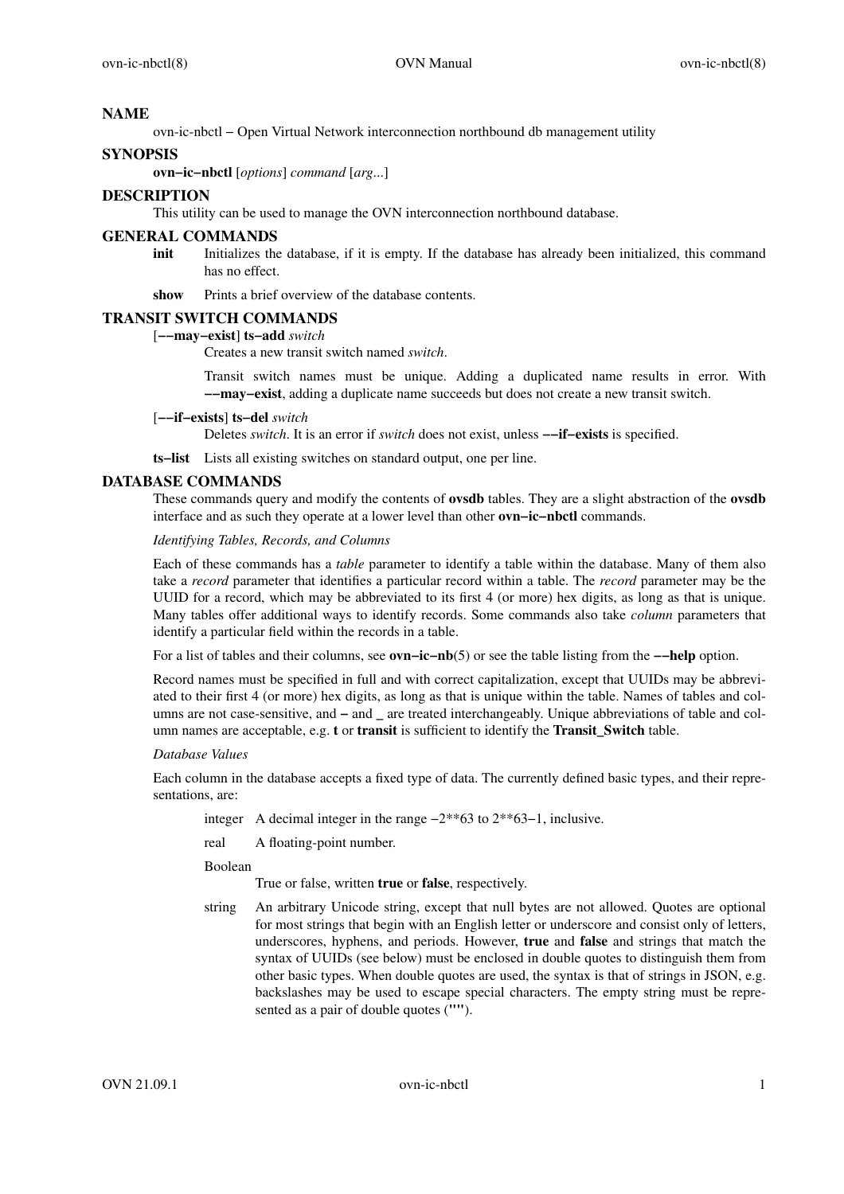### **NAME**

ovn-ic-nbctl − Open Virtual Network interconnection northbound db management utility

### **SYNOPSIS**

**ovn−ic−nbctl** [*options*] *command* [*arg*...]

# **DESCRIPTION**

This utility can be used to manage the OVN interconnection northbound database.

#### **GENERAL COMMANDS**

**init** Initializes the database, if it is empty. If the database has already been initialized, this command has no effect.

**show** Prints a brief overview of the database contents.

## **TRANSIT SWITCH COMMANDS**

# [**−−may−exist**] **ts−add** *switch*

Creates a new transit switch named *switch*.

Transit switch names must be unique. Adding a duplicated name results in error. With **−−may−exist**, adding a duplicate name succeeds but does not create a new transit switch.

#### [**−−if−exists**] **ts−del** *switch*

Deletes *switch*. It is an error if *switch* does not exist, unless **−−if−exists** is specified.

**ts−list** Lists all existing switches on standard output, one per line.

## **DATABASE COMMANDS**

These commands query and modify the contents of **ovsdb** tables. They are a slight abstraction of the **ovsdb** interface and as such they operate at a lower level than other **ovn−ic−nbctl** commands.

*Identifying Tables, Records, and Columns*

Each of these commands has a *table* parameter to identify a table within the database. Many of them also take a *record* parameter that identifies a particular record within a table. The *record* parameter may be the UUID for a record, which may be abbreviated to its first 4 (or more) hex digits, as long as that is unique. Many tables offer additional ways to identify records. Some commands also take *column* parameters that identify a particular field within the records in a table.

Foralist of tables and their columns, see **ovn−ic−nb**(5) or see the table listing from the **−−help** option.

Record names must be specified in full and with correct capitalization, except that UUIDs may be abbreviated to their first 4 (or more) hex digits, as long as that is unique within the table. Names of tables and columns are not case-sensitive, and **−** and **\_** are treated interchangeably. Unique abbreviations of table and column names are acceptable, e.g. **t** or **transit** is sufficient to identify the **Transit\_Switch** table.

## *Database Values*

Each column in the database accepts a fixed type of data. The currently defined basic types, and their representations, are:

integer A decimal integer in the range −2\*\*63 to 2\*\*63−1, inclusive.

real A floating-point number.

Boolean

True or false, written **true** or **false**, respectively.

string An arbitrary Unicode string, except that null bytes are not allowed. Quotes are optional for most strings that begin with an English letter or underscore and consist only of letters, underscores, hyphens, and periods. However, **true** and **false** and strings that match the syntax of UUIDs (see below) must be enclosed in double quotes to distinguish them from other basic types. When double quotes are used, the syntax is that of strings in JSON, e.g. backslashes may be used to escape special characters. The empty string must be represented as a pair of double quotes (**""**).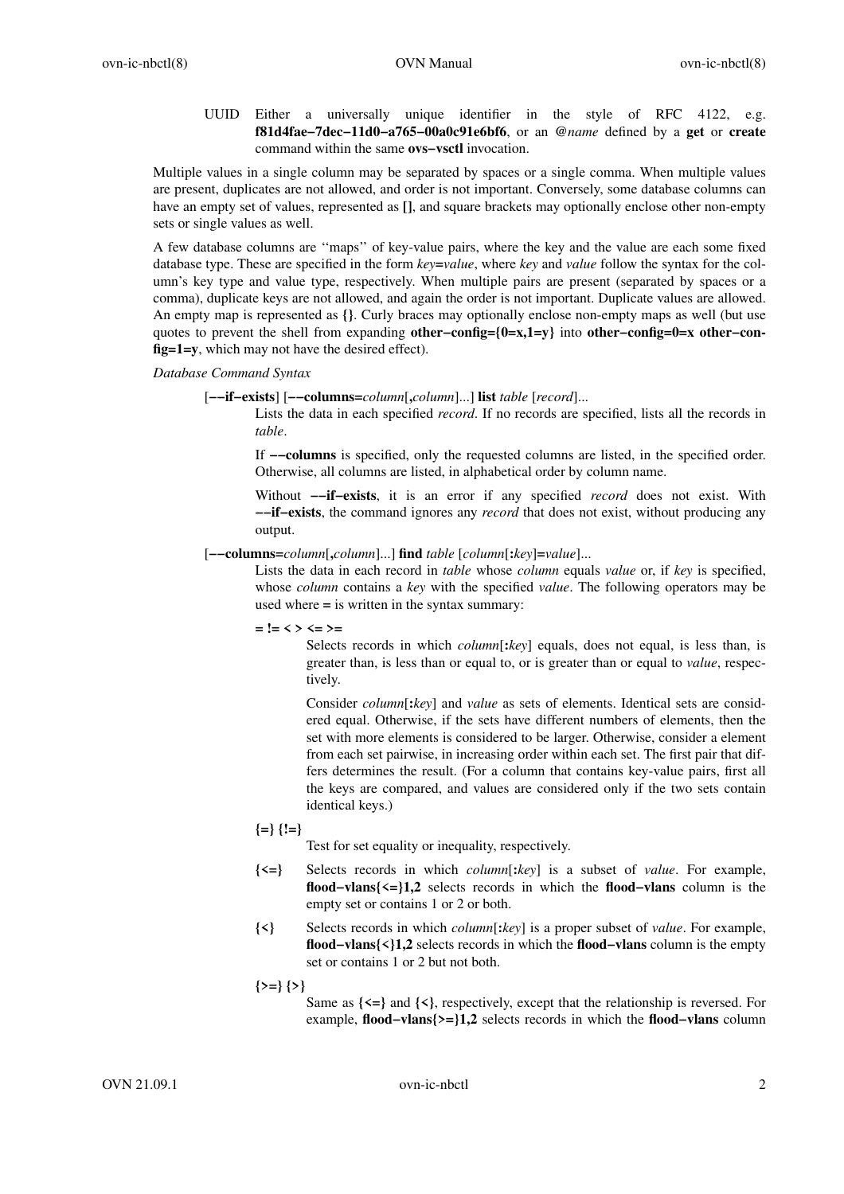UUID Either a universally unique identifier in the style of RFC 4122, e.g. **f81d4fae−7dec−11d0−a765−00a0c91e6bf6**, or an **@***name* defined by a **get** or **create** command within the same **ovs−vsctl** invocation.

Multiple values in a single column may be separated by spaces or a single comma. When multiple values are present, duplicates are not allowed, and order is not important. Conversely, some database columns can have an empty set of values, represented as **[]**, and square brackets may optionally enclose other non-empty sets or single values as well.

A few database columns are ''maps'' of key-value pairs, where the key and the value are each some fixed database type. These are specified in the form *key***=***value*, where *key* and *value* follow the syntax for the column's key type and value type, respectively. When multiple pairs are present (separated by spaces or a comma), duplicate keys are not allowed, and again the order is not important. Duplicate values are allowed. An empty map is represented as **{}**. Curly braces may optionally enclose non-empty maps as well (but use quotes to prevent the shell from expanding **other−config={0=x,1=y}** into **other−config=0=x other−config=1=y**, which may not have the desired effect).

*Database Command Syntax*

[**−−if−exists**] [**−−columns=***column*[**,***column*]...] **list** *table* [*record*]...

Lists the data in each specified *record*. If no records are specified, lists all the records in *table*.

If **−−columns** is specified, only the requested columns are listed, in the specified order. Otherwise, all columns are listed, in alphabetical order by column name.

Without **−−if−exists**, it is an error if any specified *record* does not exist. With **−−if−exists**, the command ignores any *record* that does not exist, without producing any output.

[**−−columns=***column*[**,***column*]...] **find** *table* [*column*[**:***key*]**=***value*]...

Lists the data in each record in *table* whose *column* equals *value* or, if *key* is specified, whose *column* contains a *key* with the specified *value*. The following operators may be used where **=** is written in the syntax summary:

**= != < > <= >=**

Selects records in which *column*[**:***key*] equals, does not equal, is less than, is greater than, is less than or equal to, or is greater than or equal to *value*, respectively.

Consider *column*[**:***key*] and *value* as sets of elements. Identical sets are considered equal. Otherwise, if the sets have different numbers of elements, then the set with more elements is considered to be larger. Otherwise, consider a element from each set pairwise, in increasing order within each set. The first pair that differs determines the result. (For a column that contains key-value pairs, first all the keys are compared, and values are considered only if the two sets contain identical keys.)

**{=} {!=}**

Test for set equality or inequality, respectively.

- **{<=}** Selects records in which *column*[**:***key*] is a subset of *value*. For example, **flood−vlans{<=}1,2** selects records in which the **flood−vlans** column is the empty set or contains 1 or 2 or both.
- **{<}** Selects records in which *column*[**:***key*] is a proper subset of *value*. For example, **flood−vlans{<}1,2** selects records in which the **flood−vlans** column is the empty set or contains 1 or 2 but not both.
- **{>=} {>}**

Same as **{<=}** and **{<}**, respectively, except that the relationship is reversed. For example, **flood−vlans{>=}1,2** selects records in which the **flood−vlans** column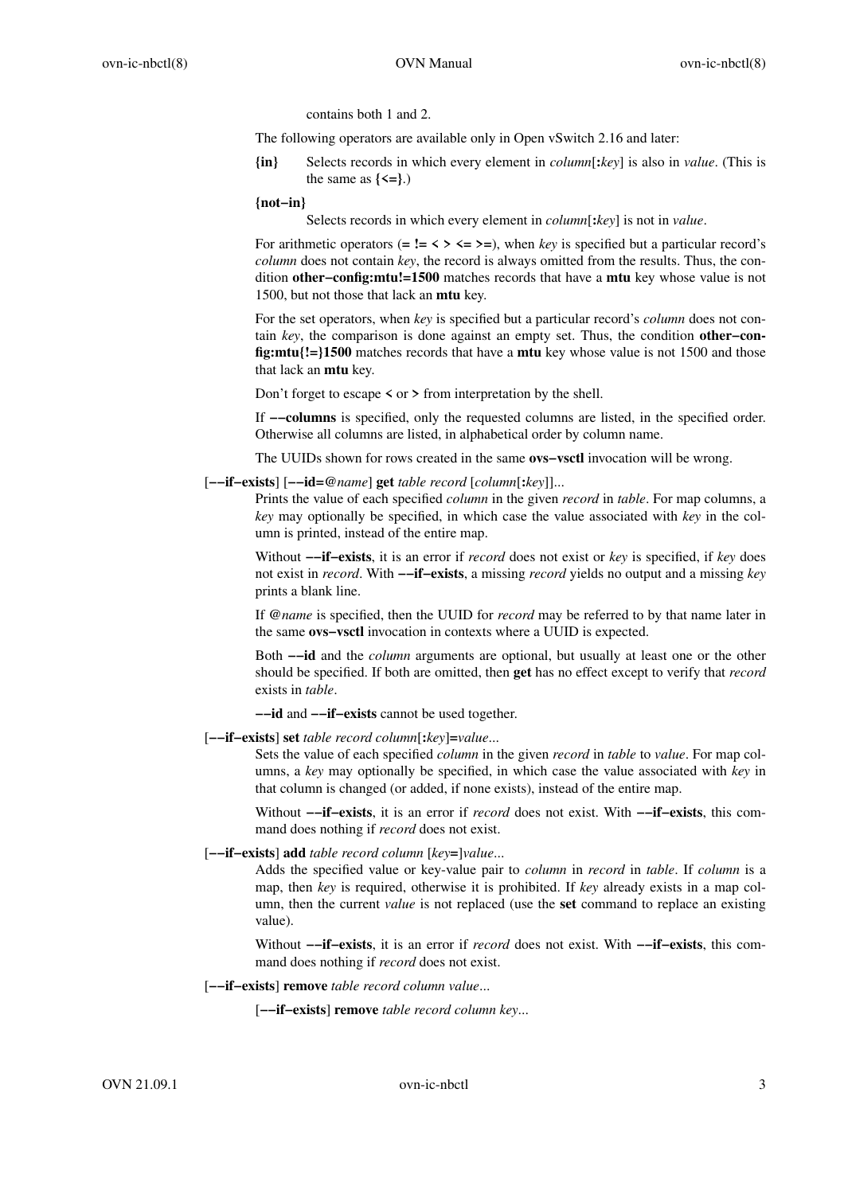contains both 1 and 2.

The following operators are available only in Open vSwitch 2.16 and later:

**{in}** Selects records in which every element in *column*[**:***key*] is also in *value*. (This is the same as  $\{\leq=\}$ .)

**{not−in}**

Selects records in which every element in *column*[**:***key*] is not in *value*.

For arithmetic operators  $(= \mathbf{I} = \langle \rangle \langle = \rangle = \rangle$ , when *key* is specified but a particular record's *column* does not contain *key*, the record is always omitted from the results. Thus, the condition **other−config:mtu!=1500** matches records that have a **mtu** key whose value is not 1500, but not those that lack an **mtu** key.

For the set operators, when *key* is specified but a particular record's *column* does not contain *key*, the comparison is done against an empty set. Thus, the condition **other−config:mtu{!=}1500** matches records that have a **mtu** key whose value is not 1500 and those that lack an **mtu** key.

Don't forget to escape **<** or **>** from interpretation by the shell.

If **−−columns** is specified, only the requested columns are listed, in the specified order. Otherwise all columns are listed, in alphabetical order by column name.

The UUIDs shown for rows created in the same **ovs−vsctl** invocation will be wrong.

[**−−if−exists**] [**−−id=@***name*] **get** *table record* [*column*[**:***key*]]...

Prints the value of each specified *column* in the given *record* in *table*. For map columns, a *key* may optionally be specified, in which case the value associated with *key* in the column is printed, instead of the entire map.

Without **−−if−exists**, it is an error if *record* does not exist or *key* is specified, if *key* does not exist in *record*. With **−−if−exists**,amissing *record* yields no output and a missing *key* prints a blank line.

If **@***name* is specified, then the UUID for *record* may be referred to by that name later in the same **ovs−vsctl** invocation in contexts where a UUID is expected.

Both **−−id** and the *column* arguments are optional, but usually at least one or the other should be specified. If both are omitted, then **get** has no effect except to verify that *record* exists in *table*.

**−−id** and **−−if−exists** cannot be used together.

[**−−if−exists**] **set** *table record column*[**:***key*]**=***value*...

Sets the value of each specified *column* in the given *record* in *table* to *value*. For map columns, a *key* may optionally be specified, in which case the value associated with *key* in that column is changed (or added, if none exists), instead of the entire map.

Without **−−if−exists**, it is an error if *record* does not exist. With **−−if−exists**, this command does nothing if *record* does not exist.

# [**−−if−exists**] **add** *table record column* [*key***=**]*value*...

Adds the specified value or key-value pair to *column* in *record* in *table*. If *column* is a map, then *key* is required, otherwise it is prohibited. If *key* already exists in a map column, then the current *value* is not replaced (use the **set** command to replace an existing value).

Without **−−if−exists**, it is an error if *record* does not exist. With **−−if−exists**, this command does nothing if *record* does not exist.

[**−−if−exists**] **remove** *table record column value*...

[**−−if−exists**] **remove** *table record column key*...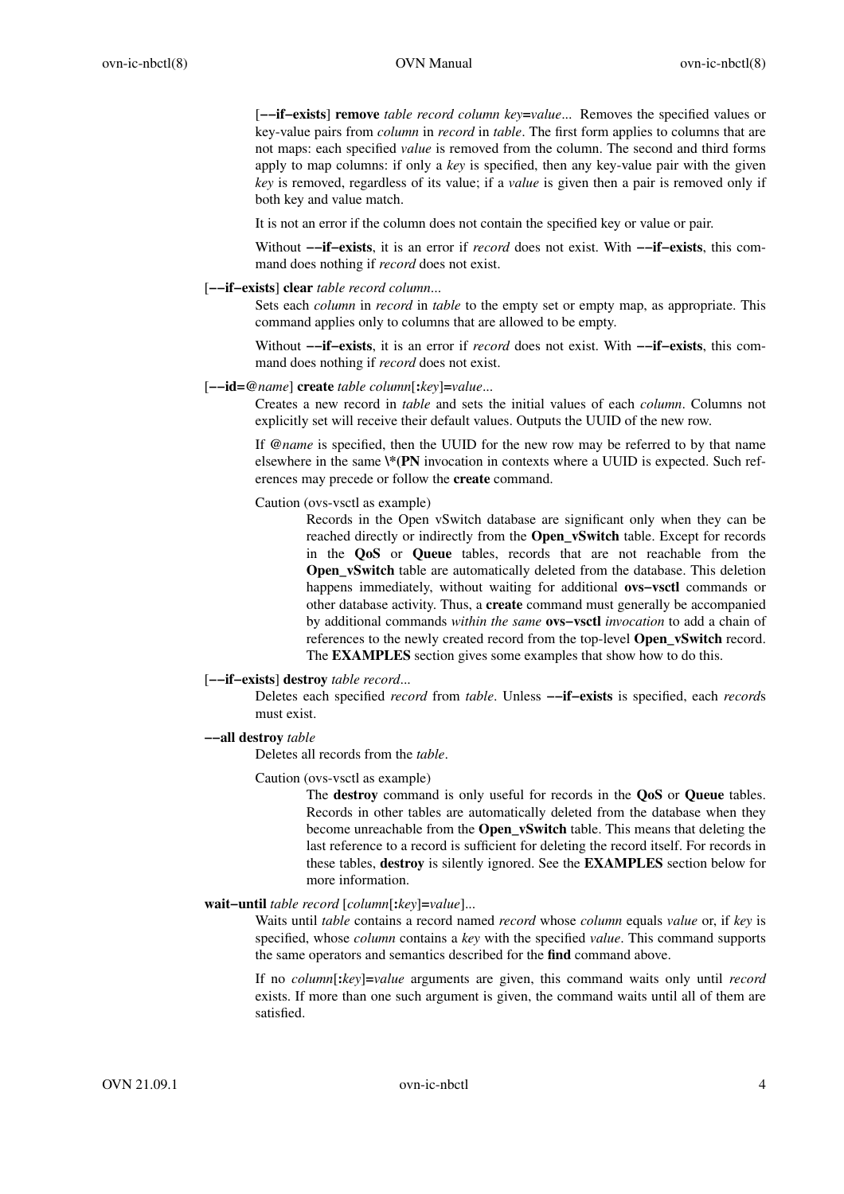[**−−if−exists**] **remove** *table record column key***=***value*... Removes the specified values or key-value pairs from *column* in *record* in *table*. The first form applies to columns that are not maps: each specified *value* is removed from the column. The second and third forms apply to map columns: if only a *key* is specified, then any key-value pair with the given *key* is removed, regardless of its value; if a *value* is given then a pair is removed only if both key and value match.

It is not an error if the column does not contain the specified key or value or pair.

Without **−−if−exists**, it is an error if *record* does not exist. With **−−if−exists**, this command does nothing if *record* does not exist.

## [**−−if−exists**] **clear** *table record column*...

Sets each *column* in *record* in *table* to the empty set or empty map, as appropriate. This command applies only to columns that are allowed to be empty.

Without **−−if−exists**, it is an error if *record* does not exist. With **−−if−exists**, this command does nothing if *record* does not exist.

#### [**−−id=@***name*] **create** *table column*[**:***key*]**=***value*...

Creates a new record in *table* and sets the initial values of each *column*. Columns not explicitly set will receive their default values. Outputs the UUID of the new row.

If **@***name* is specified, then the UUID for the new row may be referred to by that name elsewhere in the same **\\*(PN** invocation in contexts where a UUID is expected. Such references may precede or follow the **create** command.

Caution (ovs-vsctl as example)

Records in the Open vSwitch database are significant only when they can be reached directly or indirectly from the **Open\_vSwitch** table. Except for records in the **QoS** or **Queue** tables, records that are not reachable from the **Open\_vSwitch** table are automatically deleted from the database. This deletion happens immediately, without waiting for additional **ovs−vsctl** commands or other database activity. Thus, a **create** command must generally be accompanied by additional commands *within the same* **ovs−vsctl** *invocation* to add a chain of references to the newly created record from the top-level **Open\_vSwitch** record. The **EXAMPLES** section gives some examples that show how to do this.

### [**−−if−exists**] **destroy** *table record*...

Deletes each specified *record* from *table*. Unless **−−if−exists** is specified, each *record*s must exist.

#### **−−all destroy** *table*

Deletes all records from the *table*.

#### Caution (ovs-vsctl as example)

The **destroy** command is only useful for records in the **QoS** or **Queue** tables. Records in other tables are automatically deleted from the database when they become unreachable from the **Open\_vSwitch** table. This means that deleting the last reference to a record is sufficient for deleting the record itself. For records in these tables, **destroy** is silently ignored. See the **EXAMPLES** section below for more information.

## **wait−until** *table record* [*column*[**:***key*]**=***value*]...

Waits until *table* contains a record named *record* whose *column* equals *value* or, if *key* is specified, whose *column* contains a *key* with the specified *value*. This command supports the same operators and semantics described for the **find** command above.

If no *column*[**:***key*]**=***value* arguments are given, this command waits only until *record* exists. If more than one such argument is given, the command waits until all of them are satisfied.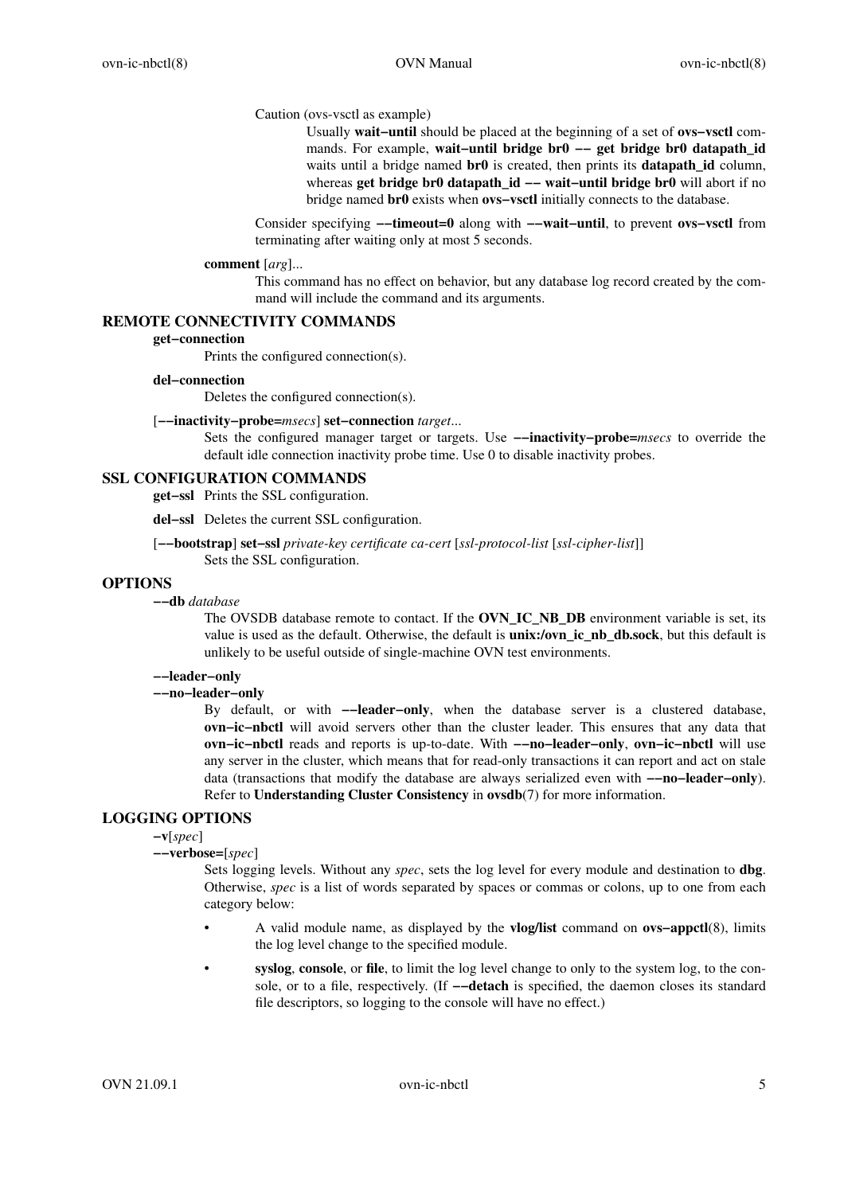## Caution (ovs-vsctl as example)

Usually **wait−until** should be placed at the beginning of a set of **ovs−vsctl** commands. For example, **wait−until bridge br0 −− get bridge br0 datapath\_id** waits until a bridge named **br0** is created, then prints its **datapath id** column, whereas **get bridge br0 datapath id −− wait–until bridge br0** will abort if no bridge named **br0** exists when **ovs−vsctl** initially connects to the database.

Consider specifying **−−timeout=0** along with **−−wait−until**, to prevent **ovs−vsctl** from terminating after waiting only at most 5 seconds.

#### **comment** [*arg*]...

This command has no effect on behavior, but any database log record created by the command will include the command and its arguments.

# **REMOTE CONNECTIVITY COMMANDS**

### **get−connection**

Prints the configured connection(s).

#### **del−connection**

Deletes the configured connection(s).

## [**−−inactivity−probe=***msecs*] **set−connection** *target*...

Sets the configured manager target or targets. Use **−−inactivity−probe=***msecs* to override the default idle connection inactivity probe time. Use 0 to disable inactivity probes.

## **SSL CONFIGURATION COMMANDS**

**get−ssl** Prints the SSL configuration.

**del−ssl** Deletes the current SSL configuration.

[**−−bootstrap**] **set−ssl** *private-key certificate ca-cert* [*ssl-protocol-list* [*ssl-cipher-list*]] Sets the SSL configuration.

# **OPTIONS**

**−−db** *database*

The OVSDB database remote to contact. If the **OVN\_IC\_NB\_DB** environment variable is set, its value is used as the default. Otherwise, the default is **unix:/ovn\_ic\_nb\_db.sock**, but this default is unlikely to be useful outside of single-machine OVN test environments.

# **−−leader−only**

**−−no−leader−only**

By default, or with **−−leader−only**, when the database server is a clustered database, **ovn−ic−nbctl** will avoid servers other than the cluster leader. This ensures that any data that **ovn−ic−nbctl** reads and reports is up-to-date. With **−−no−leader−only**, **ovn−ic−nbctl** will use any server in the cluster, which means that for read-only transactions it can report and act on stale data (transactions that modify the database are always serialized even with **−−no−leader−only**). Refer to **Understanding Cluster Consistency** in **ovsdb**(7) for more information.

# **LOGGING OPTIONS**

**−v**[*spec*]

**−−verbose=**[*spec*]

Sets logging levels. Without any *spec*, sets the log level for every module and destination to **dbg**. Otherwise, *spec* is a list of words separated by spaces or commas or colons, up to one from each category below:

- A valid module name, as displayed by the **vlog/list** command on **ovs−appctl**(8), limits the log level change to the specified module.
- **syslog**, **console**, or **file**, to limit the log level change to only to the system log, to the console, or to a file, respectively. (If **−−detach** is specified, the daemon closes its standard file descriptors, so logging to the console will have no effect.)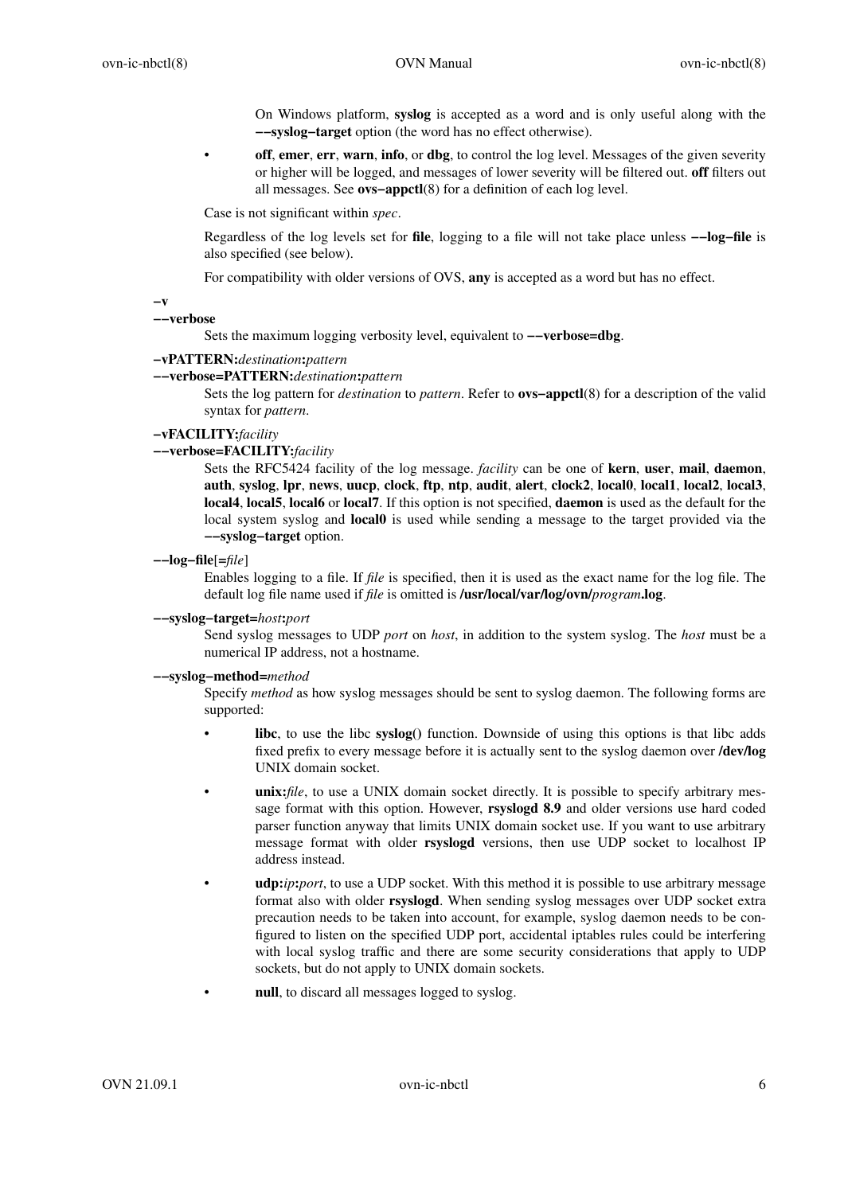On Windows platform, **syslog** is accepted as a word and is only useful along with the **−−syslog−target** option (the word has no effect otherwise).

**off, emer, err, warn, info, or dbg,** to control the log level. Messages of the given severity or higher will be logged, and messages of lower severity will be filtered out. **off** filters out all messages. See **ovs−appctl**(8) for a definition of each log level.

Case is not significant within *spec*.

Regardless of the log levels set for **file**, logging to a file will not take place unless **−−log−file** is also specified (see below).

For compatibility with older versions of OVS, **any** is accepted as a word but has no effect.

**−v**

### **−−verbose**

Sets the maximum logging verbosity level, equivalent to **−−verbose=dbg**.

### **−vPATTERN:***destination***:***pattern*

### **−−verbose=PATTERN:***destination***:***pattern*

Sets the log pattern for *destination* to *pattern*. Refer to **ovs−appctl**(8) for a description of the valid syntax for *pattern*.

### **−vFACILITY:***facility*

### **−−verbose=FACILITY:***facility*

Sets the RFC5424 facility of the log message. *facility* can be one of **kern**, **user**, **mail**, **daemon**, **auth**, **syslog**, **lpr**, **news**, **uucp**, **clock**, **ftp**, **ntp**, **audit**, **alert**, **clock2**, **local0**, **local1**, **local2**, **local3**, **local4**, **local5**, **local6** or **local7**. If this option is not specified, **daemon** is used as the default for the local system syslog and **local0** is used while sending a message to the target provided via the **−−syslog−target** option.

### **−−log−file**[**=***file*]

Enables logging to a file. If *file* is specified, then it is used as the exact name for the log file. The default log file name used if *file* is omitted is **/usr/local/var/log/ovn/***program***.log**.

## **−−syslog−target=***host***:***port*

Send syslog messages to UDP *port* on *host*, in addition to the system syslog. The *host* must be a numerical IP address, not a hostname.

## **−−syslog−method=***method*

Specify *method* as how syslog messages should be sent to syslog daemon. The following forms are supported:

- **libc**, to use the libc **syslog()** function. Downside of using this options is that libc adds fixed prefix to every message before it is actually sent to the syslog daemon over **/dev/log** UNIX domain socket.
- **unix:***file*, to use a UNIX domain socket directly. It is possible to specify arbitrary message format with this option. However, **rsyslogd 8.9** and older versions use hard coded parser function anyway that limits UNIX domain socket use. If you want to use arbitrary message format with older **rsyslogd** versions, then use UDP socket to localhost IP address instead.
- **udp:***ip***:***port*, to use a UDP socket. With this method it is possible to use arbitrary message format also with older **rsyslogd**. When sending syslog messages over UDP socket extra precaution needs to be taken into account, for example, syslog daemon needs to be configured to listen on the specified UDP port, accidental iptables rules could be interfering with local syslog traffic and there are some security considerations that apply to UDP sockets, but do not apply to UNIX domain sockets.
- null, to discard all messages logged to syslog.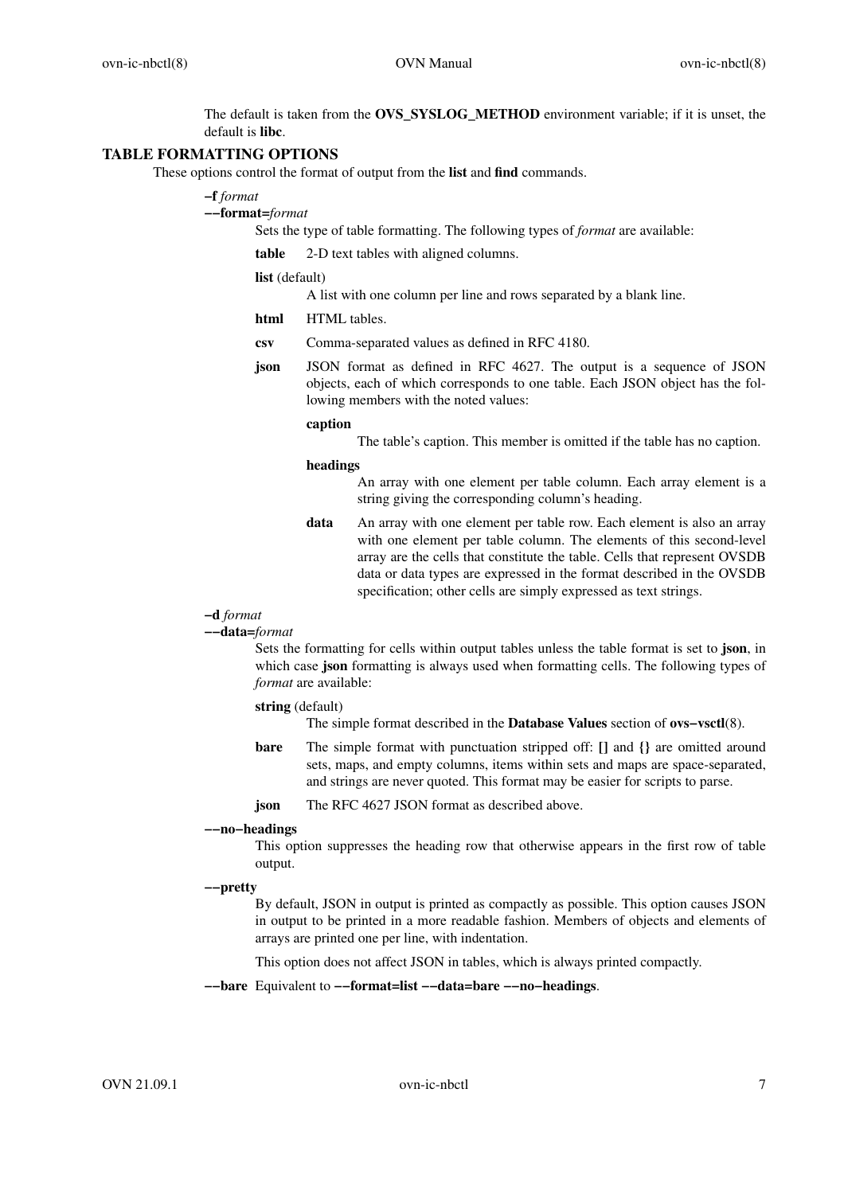The default is taken from the **OVS\_SYSLOG\_METHOD** environment variable; if it is unset, the default is **libc**.

# **TABLE FORMATTING OPTIONS**

These options control the format of output from the **list** and **find** commands.

# **−f** *format*

**−−format=***format*

Sets the type of table formatting. The following types of *format* are available:

**table** 2-D text tables with aligned columns.

**list** (default)

A list with one column per line and rows separated by a blank line.

**html** HTML tables.

- **csv** Comma-separated values as defined in RFC 4180.
- **json** JSON format as defined in RFC 4627. The output is a sequence of JSON objects, each of which corresponds to one table. Each JSON object has the following members with the noted values:

## **caption**

The table's caption. This member is omitted if the table has no caption.

#### **headings**

An array with one element per table column. Each array element is a string giving the corresponding column's heading.

**data** An array with one element per table row. Each element is also an array with one element per table column. The elements of this second-level array are the cells that constitute the table. Cells that represent OVSDB data or data types are expressed in the format described in the OVSDB specification; other cells are simply expressed as text strings.

### **−d** *format*

### **−−data=***format*

Sets the formatting for cells within output tables unless the table format is set to **json**, in which case **json** formatting is always used when formatting cells. The following types of *format* are available:

**string** (default)

The simple format described in the **Database Values** section of **ovs−vsctl**(8).

**bare** The simple format with punctuation stripped off: **[]** and **{}** are omitted around sets, maps, and empty columns, items within sets and maps are space-separated, and strings are never quoted. This format may be easier for scripts to parse.

**json** The RFC 4627 JSON format as described above.

#### **−−no−headings**

This option suppresses the heading row that otherwise appears in the first row of table output.

#### **−−pretty**

By default, JSON in output is printed as compactly as possible. This option causes JSON in output to be printed in a more readable fashion. Members of objects and elements of arrays are printed one per line, with indentation.

This option does not affect JSON in tables, which is always printed compactly.

**−−bare** Equivalent to **−−format=list −−data=bare −−no−headings**.